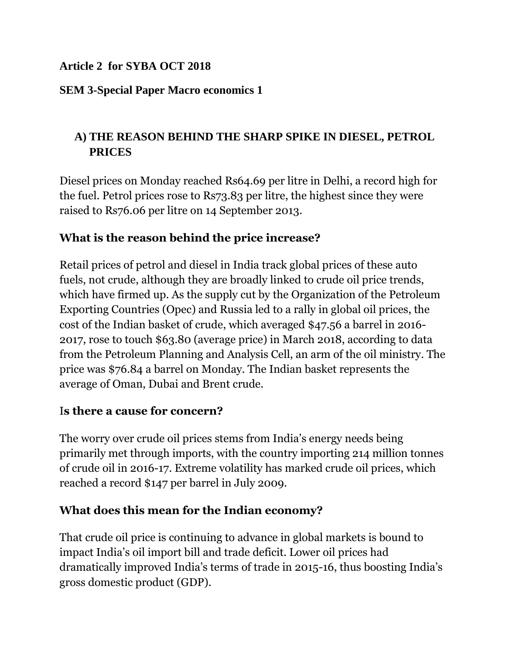### **Article 2 for SYBA OCT 2018**

### **SEM 3-Special Paper Macro economics 1**

# **A) THE REASON BEHIND THE SHARP SPIKE IN DIESEL, PETROL PRICES**

Diesel prices on Monday reached Rs64.69 per litre in Delhi, a record high for the fuel. Petrol prices rose to Rs73.83 per litre, the highest since they were raised to Rs76.06 per litre on 14 September 2013.

## **What is the reason behind the price increase?**

Retail prices of petrol and diesel in India track global prices of these auto fuels, not crude, although they are broadly linked to crude oil price trends, which have firmed up. As the supply cut by the Organization of the Petroleum Exporting Countries (Opec) and Russia led to a rally in global oil prices, the cost of the Indian basket of crude, which averaged \$47.56 a barrel in 2016- 2017, rose to touch \$63.80 (average price) in March 2018, according to data from the Petroleum Planning and Analysis Cell, an arm of the oil ministry. The price was \$76.84 a barrel on Monday. The Indian basket represents the average of Oman, Dubai and Brent crude.

## I**s there a cause for concern?**

The worry over crude oil prices stems from India's energy needs being primarily met through imports, with the country importing 214 million tonnes of crude oil in 2016-17. Extreme volatility has marked crude oil prices, which reached a record \$147 per barrel in July 2009.

## **What does this mean for the Indian economy?**

That crude oil price is continuing to advance in global markets is bound to impact India's oil import bill and trade deficit. Lower oil prices had dramatically improved India's terms of trade in 2015-16, thus boosting India's gross domestic product (GDP).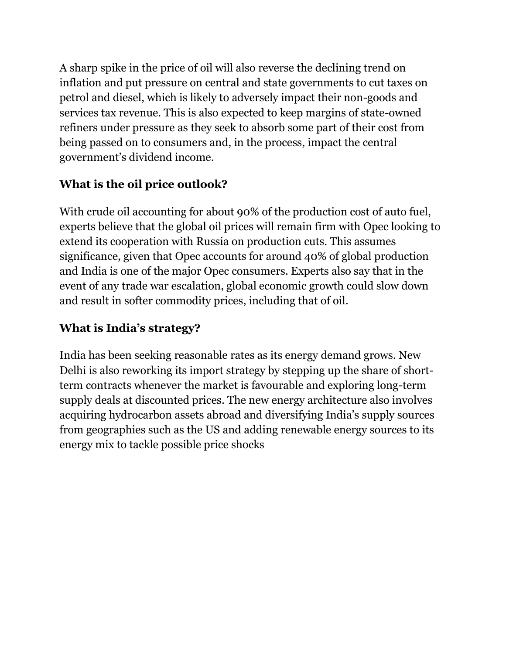A sharp spike in the price of oil will also reverse the declining trend on inflation and put pressure on central and state governments to cut taxes on petrol and diesel, which is likely to adversely impact their non-goods and services tax revenue. This is also expected to keep margins of state-owned refiners under pressure as they seek to absorb some part of their cost from being passed on to consumers and, in the process, impact the central government's dividend income.

# **What is the oil price outlook?**

With crude oil accounting for about 90% of the production cost of auto fuel, experts believe that the global oil prices will remain firm with Opec looking to extend its cooperation with Russia on production cuts. This assumes significance, given that Opec accounts for around 40% of global production and India is one of the major Opec consumers. Experts also say that in the event of any trade war escalation, global economic growth could slow down and result in softer commodity prices, including that of oil.

# **What is India's strategy?**

India has been seeking reasonable rates as its energy demand grows. New Delhi is also reworking its import strategy by stepping up the share of shortterm contracts whenever the market is favourable and exploring long-term supply deals at discounted prices. The new energy architecture also involves acquiring hydrocarbon assets abroad and diversifying India's supply sources from geographies such as the US and adding renewable energy sources to its energy mix to tackle possible price shocks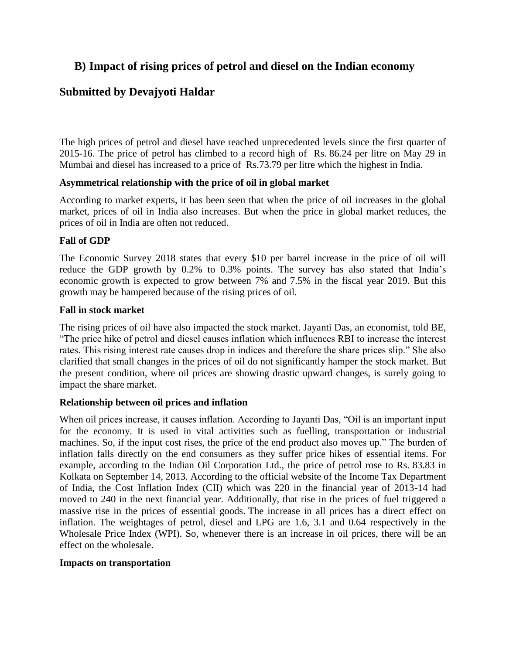### **B) Impact of rising prices of petrol and diesel on the Indian economy**

### **Submitted by [Devajyoti](http://businesseconomics.in/users/devajyotihaldar) Haldar**

The high prices of petrol and diesel have reached unprecedented levels since the first quarter of 2015-16. The price of petrol has climbed to a record high of Rs. 86.24 per litre on May 29 in Mumbai and diesel has increased to a price of Rs.73.79 per litre which the highest in India.

### **Asymmetrical relationship with the price of oil in global market**

According to market experts, it has been seen that when the price of oil increases in the global market, prices of oil in India also increases. But when the price in global market reduces, the prices of oil in India are often not reduced.

### **Fall of GDP**

The Economic Survey 2018 states that every \$10 per barrel increase in the price of oil will reduce the GDP growth by 0.2% to 0.3% points. The survey has also stated that India's economic growth is expected to grow between 7% and 7.5% in the fiscal year 2019. But this growth may be hampered because of the rising prices of oil.

### **Fall in stock market**

The rising prices of oil have also impacted the stock market. Jayanti Das, an economist, told BE, "The price hike of petrol and diesel causes inflation which influences RBI to increase the interest rates. This rising interest rate causes drop in indices and therefore the share prices slip." She also clarified that small changes in the prices of oil do not significantly hamper the stock market. But the present condition, where oil prices are showing drastic upward changes, is surely going to impact the share market.

### **Relationship between oil prices and inflation**

When oil prices increase, it causes inflation. According to Jayanti Das, "Oil is an important input for the economy. It is used in vital activities such as fuelling, transportation or industrial machines. So, if the input cost rises, the price of the end product also moves up." The burden of inflation falls directly on the end consumers as they suffer price hikes of essential items. For example, according to the Indian Oil Corporation Ltd., the price of petrol rose to Rs. 83.83 in Kolkata on September 14, 2013. According to the official website of the Income Tax Department of India, the Cost Inflation Index (CII) which was 220 in the financial year of 2013-14 had moved to 240 in the next financial year. Additionally, that rise in the prices of fuel triggered a massive rise in the prices of essential goods. The increase in all prices has a direct effect on inflation. The weightages of petrol, diesel and LPG are 1.6, 3.1 and 0.64 respectively in the Wholesale Price Index (WPI). So, whenever there is an increase in oil prices, there will be an effect on the wholesale.

### **Impacts on transportation**